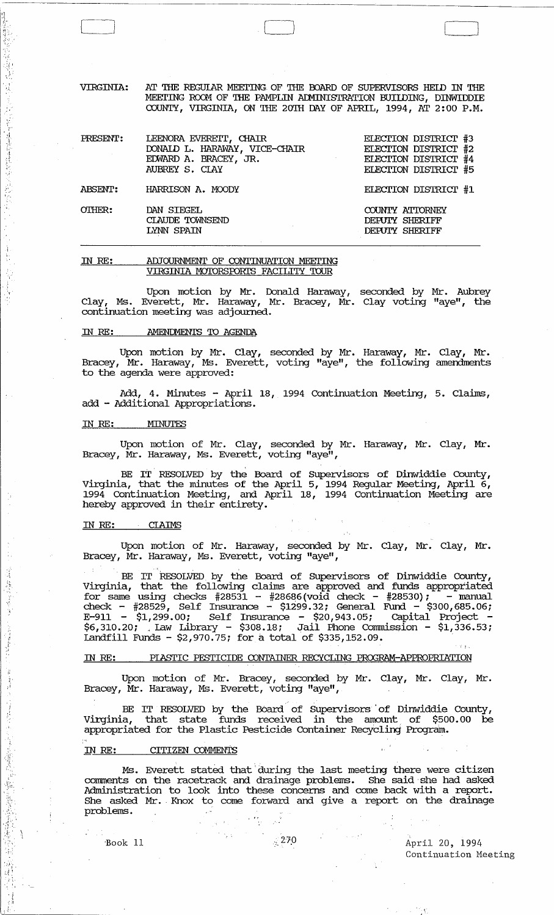AT THE REGULAR MEETING OF THE BOARD OF SUPERVISORS HELD IN THE VIRGINIA: MEETING ROOM OF THE PAMPLIN ADMINISTRATION BUILDING, DINWIDDIE COUNTY, VIRGINIA, ON THE 20TH DAY OF APRIL, 1994, AT 2:00 P.M.

| PRESENT:       | LEENORA EVERETT, CHAIR<br>DONALD L. HARAWAY, VICE-CHAIR<br>EDWARD A. BRACEY, JR.<br>$\mathcal{L}_{\text{max}}$ and $\mathcal{L}_{\text{max}}$<br>AUBREY S. CLAY | ELECTION DISTRICT #3<br>ELECTION DISTRICT #2<br>ELECTION DISTRICT #4<br>ELECTION DISTRICT #5 |
|----------------|-----------------------------------------------------------------------------------------------------------------------------------------------------------------|----------------------------------------------------------------------------------------------|
| <b>ABSENT:</b> | HARRISON A. MOODY                                                                                                                                               | ELECTION DISTRICT #1                                                                         |
| OTHER:         | DAN SIEGEL<br>CLAUDE TOWNSEND<br>LYNN SPAIN                                                                                                                     | COUNTY ATTORNEY<br>DEPUTY SHERIFF<br>DEPUTY SHERIFF                                          |

#### ADJOURNMENT OF CONTINUATION MEETING IN RE: VIRGINIA MOTORSPORTS FACILITY TOUR

Upon motion by Mr. Donald Haraway, seconded by Mr. Aubrey<br>Clay, Ms. Everett, Mr. Haraway, Mr. Bracey, Mr. Clay voting "aye", the continuation meeting was adjourned.

#### IN RE: **AMENDMENTS TO AGENDA**

Upon motion by Mr. Clay, seconded by Mr. Haraway, Mr. Clay, Mr. Bracey, Mr. Haraway, Ms. Everett, voting "aye", the following amendments to the agenda were approved:

Add, 4. Minutes - April 18, 1994 Continuation Meeting, 5. Claims, add - Additional Appropriations.

#### IN RE: MINUTES

医多耳鼻 医施尔德氏试验检尿病试验检胃肠管肠结肠炎 医心肌病的

原本 数据开关的 医

1、 有限基金

24. 电电压 的过去分词 化四甲乙酸氢酯 医胸腔麻醉法障碍麻醉病的 健康

谜

Upon motion of Mr. Clay, seconded by Mr. Haraway, Mr. Clay, Mr. Bracey, Mr. Haraway, Ms. Everett, voting "aye",

BE IT RESOLVED by the Board of Supervisors of Dinwiddie County, Virginia, that the minutes of the April 5, 1994 Regular Meeting, April 6, 1994 Continuation Meeting, and April 18, 1994 Continuation Meeting are hereby approv

#### IN RE: **CLAIMS**

Upon motion of Mr. Haraway, seconded by Mr. Clay, Mr. Clay, Mr. Bracey, Mr. Haraway, Ms. Everett, voting "aye",

BE IT RESOLVED by the Board of Supervisors of Dinwiddie County, DE IT RESOLVED by the Board of Supervisors of Dinwide County,<br>Virginia, that the following claims are approved and funds appropriated<br>for same using checks  $\#28531 - \#28686$  (void check -  $\#28530$ ); - manual<br>check -  $\#2$ 

#### PLASTIC PESTICIDE CONTAINER RECYCLING PROGRAM-APPROPRIATION IN RE:

Upon motion of Mr. Bracey, seconded by Mr. Clay, Mr. Clay, Mr. Bracey, Mr. Haraway, Ms. Everett, voting "aye",

BE IT RESOLVED by the Board of Supervisors of Dinwiddie County,<br>Virginia, that state funds received in the amount of \$500.00 be appropriated for the Plastic Pesticide Container Recycling Program.

#### IN RE: CITIZEN COMMENTS

Ms. Everett stated that during the last meeting there were citizen comments on the racetrack and drainage problems. She said she had asked Administration to look into these concerns and come back with a report. She asked Mr. Knox to come forward and give a report on the drainage problems.

Book 11

# April 20, 1994 Continuation Meeting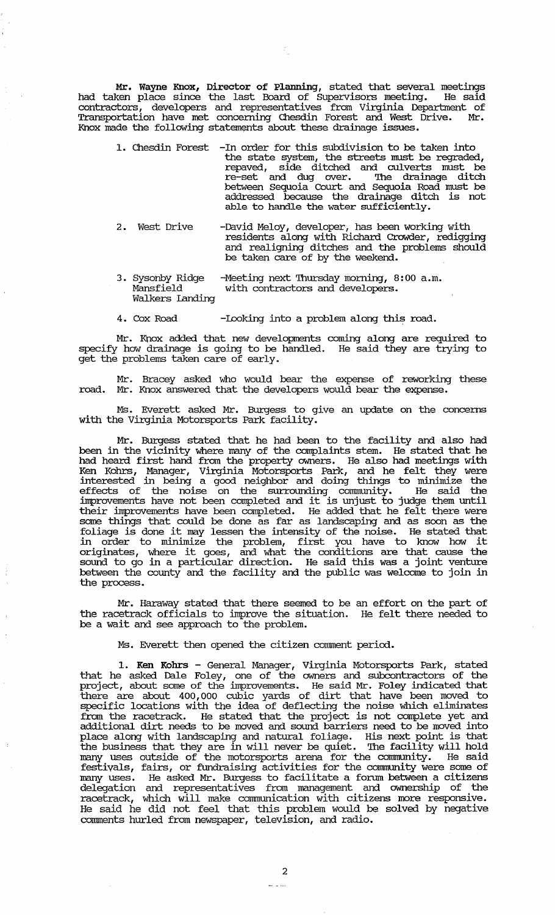Mr. Wayne Knox, Director of Planning, stated that several meetings had taken place since the last Board of Supervisors meeting. He said contractors, developers and representatives from Virginia Department of Transportation have met concerning Chesdin Forest and West Drive. Mr • Knox made the following statements about these drainage issues.

- 1. Chesdin Forest -In order for this subdivision to be taken into the state system, the streets must be regraded, repaved, side ditched and culverts must be re-set and dug over. The drainage ditch between sequoia Court and Sequoia Road must be addressed because the drainage ditch is not able to handle the water sufficiently.
- 2. West Drive -David Meloy, developer, has been working with residents along with Richard crowder, redigging and realigning ditches and the problems should be taken care of by the weekend.
- 3. Sysonby Ridge Mansfield Walkers Landing -Meeting next Thursday morning, 8:00 a.m. with contractors and developers.
- 4. Cox Road -Looking into a problem along this road.

Mr. Knox added that new developments coming along are required to specify how drainage is going to be handled. He said they are trying to get the problems taken care of early.

Mr. Bracey asked who would bear the expense of reworking these road. Mr. Knox answered that the developers would bear the expense.

Ms. Everett asked Mr. Burgess to give an update on the concerns with the Virginia Motorsports Park facility.

Mr. Burgess stated that he had been to the facility and also had been in the vicinity where many of the complaints stem. He stated that he had heard first hand from the property owners. He also had meetings with Ken Kohrs, Manager, Virginia Motorsports Park, and he felt they were interested in being a good neighbor and doing things to minimize the effects of the noise on the surrounding community. He said the improvements have not been completed and it is unjust to judge them until their improvements have been completed. He added that he felt there were some things that could be done as far as landscaping and as soon as the foliage is done it may lessen the intensity of the noise. He stated that in order to minimize the problem, first you have to know how it originates, where it goes, and what the conditions are that cause the sound to go in a particular direction. He said this was a joint venture between the county and the facility and the public was welcome to join in the process.

Mr. Haraway stated that there seemed to be an effort on the part of the racetrack officials to improve the situation. He felt there needed to be a wait and see approach to the problem.

Ms. Everett then opened the citizen comment period.

1. Ken Kohrs - General Manager, Virginia Motorsports Park, stated that he asked Dale Foley, one of the owners and subcontractors of the project, about some of the improvements. He said Mr. Foley indicated that there are about 400, 000 cubic yards of dirt that have been moved to specific locations with the idea of deflecting the noise which eliminates from the racetrack. He stated that the project is not complete yet and additional dirt needs to be moved and sound barriers need to be moved into place along with landscaping and natural foliage. His next point is that the business that they are in will never be quiet. '!he facility will hold many uses outside of the motorsports arena for the community. He said festivals, fairs, or fundraising activities for the carmnunity were some of many uses. He asked Mr. Burgess to facilitate a forum between a citizens delegation and representatives from management and ownership of the racetrack, which will make communication with citizens more responsive. He said he did not feel that this problem would be solved by negative comments hurled from newspaper, television, and radio.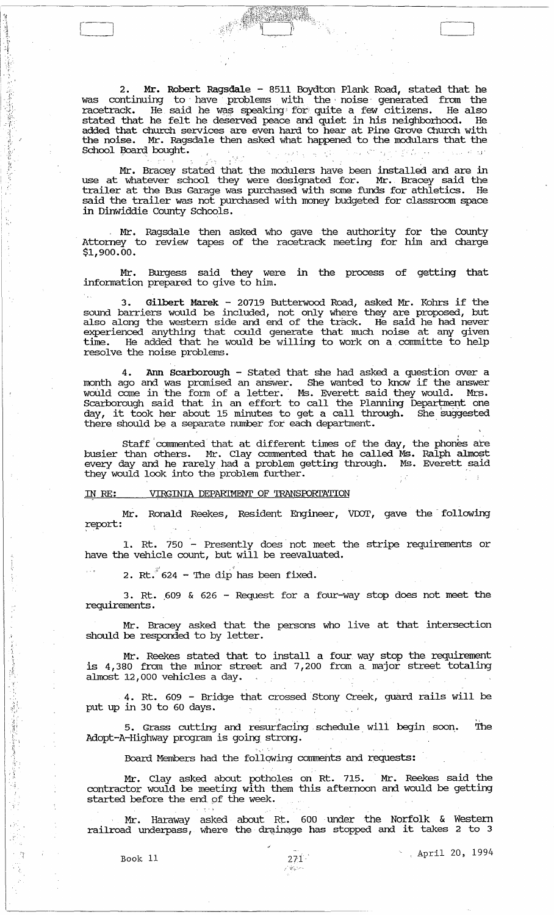2. **Mr.** Robert Ragsdale - 8511 Boydton Plank Road, stated that he was continuing to have problems with the noise generated from the  $r$ acetrack. He said he was speaking for quite a few citizens. He also stated that he felt he deserved peace and quiet in his neighborhood. He added that church services are even hard to hear at Pine Grove Church with the noise. Mr. Ragsdale then asked what happened to the moclulars that the raceutack. The said he was speaking for quite a few citizens. The also<br>stated that he felt he deserved peace and quiet in his neighborhood. He<br>added that church services are even hard to hear at Pine Grove Church with<br>the

[~ [ J

Mr. Bracey stated that the modulers have been installed and are in use at whatever school they were designated for. Mr. Bracey said the trailer at the Bus Garage was purchased with some funds for athletics. He said the trailer was not purchased with money budgeted for classroom space in Dinwiddie County Schools.

, Mr. Ragsdale then asked who gave the authority for the county Attorney to review tapes of the racetrack meeting for him and charge \$1,900.00.

Mr. Burgess said they were in the process of getting that infonnation prepared to give to him.

3. Gilbert Marek - 20719 Butterwood Road, asked Mr. Kohrs if the sound barriers would be included, not only where they are proposed, but also along the western side and end of the track. He said he had never experienced anything that could generate that much noise at any given time. He added that he would be willing to work on a committe to help resolve the noise problems.

. . 4. Ann Scarborough - stated that she had asked a question over a month ago and was promised an answer. She wanted to know if the answer would come in the form of a letter. Ms. Everett said they would. Mrs. Scarborough said that in an effort to call the Planning Department one day, it took her about 15 minutes to get a call through. She suggested there should be a separate number for each department. .

Staff commented that at different times of the day, the phones are busier than others. Mr. Clay commented that he called Ms. Ralph almost every day and he rarely had a problem getting through. Ms. Everett said they would look into the problem further.

IN RE: VIRGINIA DEPARIMENT OF TRANSPORTATION

Mr. Ronald Reekes, Resident Engineer, VDOT, gave the following ;report:

1. Rt. 750 - Presently does' not meet the stripe requirements or have the vehicle count, but will be reevaluated.

.<br>**2. Rt. 624 - The dip has been fixed.** 

3. Rt. ,609 & 626 - Request for a four-way stop does not meet the requirements .

Mr. Bracey asked that the persons who live at that intersection should be responded to by letter.

Mr. Reekes stated that to install a four way stop the requirement is 4,380 from the minor street and 7,200 from a major street totaling almost 12,000 vehicles a day.

4. Rt. 609 - Bridge that crossed Stony Creek, guard rails will be put up in 30 to 60 days.  $\mathcal{L}(\mathbf{w},\mathbf{w})$  , and  $\mathcal{L}(\mathbf{w},\mathbf{w})$  , and  $\mathcal{F}=\{g_{\alpha}\}_{\alpha\in\mathbb{N}}$ 

5. Grass cutting and resurfacing, schedule. wili begin. soon. The Adopt-A-Highway program is going strong.

Board Members had the following comments and requests:

Mr. Clay asked about potholes on Rt. 715. Mr. Reekes said the contractor would be meeting with them this afternoon and would be getting started before the end of the week.

Mr. Haraway asked about Rt. 600 under the Norfolk & Western<br>1 railroad underpass, where the drainage has stopped and it takes 2 to 3

 $\mathfrak{g}^+$  , "

,,'

1 . '; , .

 $\frac{1}{2}$ 

::: ,I, :1

" .

4

 $\cdot$  .  $\cdot$  .

Book 11 20, 1994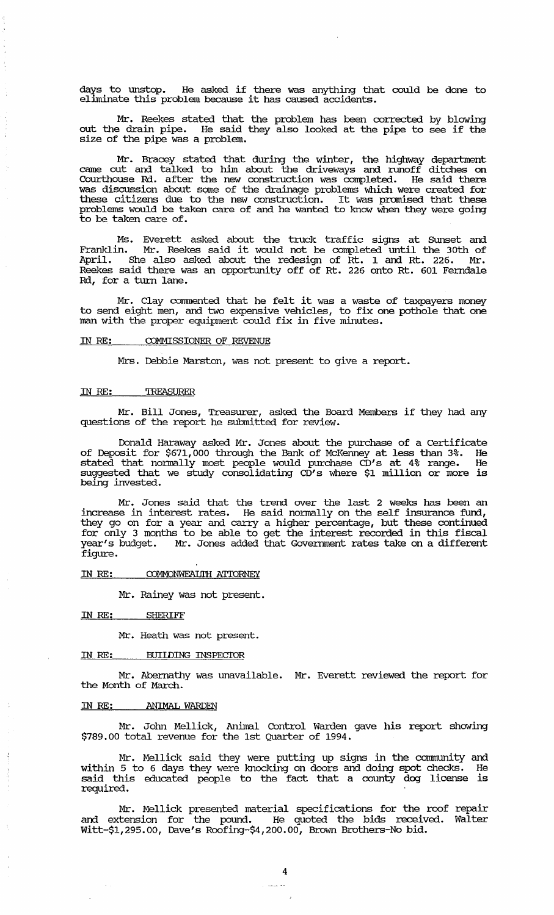days to unstop. He asked if there was anything that could be done to eliminate this problem because it has caused accidents.

Mr. Reekes stated that the problem has been corrected by blowing out the drain pipe. He said they also looked at the pipe to see if the size of the pipe was a problem.

Mr. Bracey stated that during the winter, the highway department came out and talked to him about the driveways and runoff ditches on Courthouse Rd.. after the new construction was completed. He said there was discussion about some of the drainage problems which were created for these citizens due to the new construction. It was promised that these problems would be taken care of and he wanted to know when they were going to be taken care of.

Ms. Everett asked about the truck traffic signs at Sunset and Franklin. Mr. Reekes said it would not be completed until the 30th of April. She also asked about the redesign of Rt. 1 and Rt. 226. Mr. Reekes said there was an opportunity off of Rt. 226 onto Rt. 601 Ferndale Rd., for a turn lane.

Mr. Clay commented that he felt it was a waste of taxpayers money to send eight men, and two expensive vehicles, to fix one pothole that one man with the proper equipment could fix in five minutes.

## IN RE: COMMISSIONER OF REVENUE

Mrs. Debbie Marston, was not present to give a report.

#### IN RE: TREASURER

Mr. Bill Jones, Treasurer, asked the Board Members if they had any questions of the report he submitted for review.

Donald Haraway asked Mr. Jones about the purchase of a Certificate of Deposit for \$671,000 through the Bank of McKenney at less than 3%. He stated that normally most people would purchase CD's at 4% range. He suggested that we study consolidating CD's where \$1 million or more is being invested.

Mr. Jones said that the trend over the last 2 weeks has been an increase in interest rates. He said no:rmally on the self insurance fund, they go on for a year and carry a higher percentage, but these continued for only 3 months to be able to get the interest recorded in this fiscal year's budget. Mr. Jones added that Government rates take on a different figure.

## IN RE: COMMONWEALTH ATTORNEY

Mr. Rainey was not present.

IN RE: SHERIFF

Mr. Heath was not present.

### IN RE: BUILDING INSPECIDR

Mr. Abernathy was unavailable. Mr. Everett reviewed the report for the Month of March.

## IN RE: ANIMAL WARDEN

 $\frac{1}{2}$ 

Mr. John Mellick, Animal Control Warden gave his report showing \$789.00 total revenue for the 1st Quarter of 1994.

Mr. Mellick said they were putting up signs in the community and within 5 to 6 days they were knocking on doors and doing spot checks. He said this educated people to the fact that a county dog license is required.

Mr. Mellick presented material specifications for the roof repair and extension for the pound. He quoted the bids received. Walter Witt-\$1,295.00, Dave's Roofing-\$4,200.00, Brown Brothers-No bid.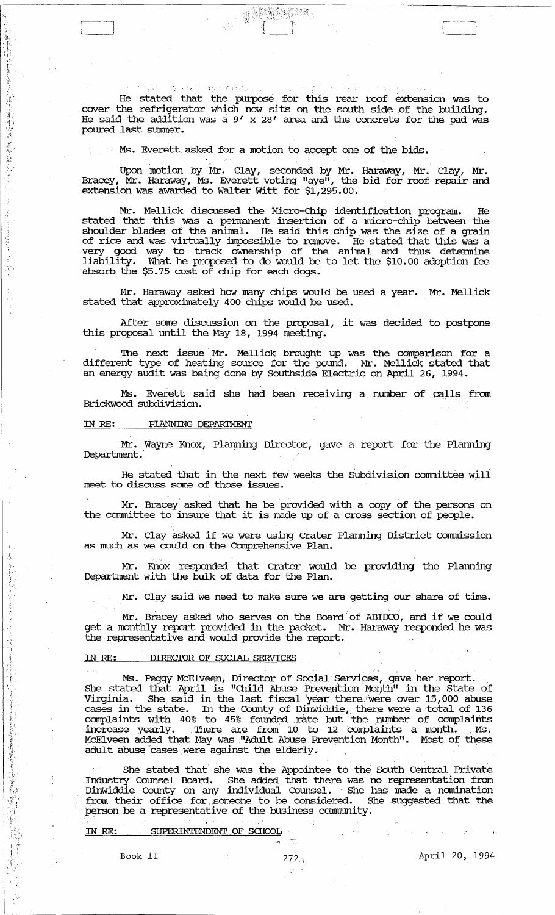He stated that . the purpose for this rear roof extension was to cover the refrigerator which now sits on the south side of the building. He said the addition was a:  $9'$  x 28' area and the concrete for the pad was poured last summer.

işatını,

Ms. Everett asked for a motion to accept one of the bids.

Upon lnotion by Mr. Clay, seconded by Mr. Haraway, Mr. Clay, Mr. Bracey, Mr. Haraway, Ms. Everett voting "aye", the bid for roof repair and extension was awarded to walter witt for \$1,295.00.

Mr. Mellick discussed the Micro-Chip identification program. He stated that this was a pennanent insertion of a micro-chip between the shoulder blades of the animal. He said this chip was the size of a grain of rice and was virtually impossible to remove. He stated that this was a very good way to track ownership of the animal and thus detennine liability. What he proposed to do would be to let the \$10.00 adoption fee absorb the \$5.75 cost of chip for each dogs.

Mr. Haraway asked how many chips would be used a year. Mr. Mellick stated that approximately 400 chips would be used.

After some discussion on the proposal, it was decided to postpone this proposal until the May 18, 1994 meeting.

The next issue Mr. Mellick brought up was the comparison for a different type of heating source for the pound. Mr. Mellick stated that an energy audit was being done by Southside Electric on April 26, 1994.

Ms. Everett said she had been receiving a number of calls from Brickwood subdivision.

#### IN *RE:* PIANNJNG DEPARTMENT

 $\mathcal{O}(\log n)$ 

 $\ddot{V}$ ./:

||東東李学家新聞第45年 2010年

Mr. Wayne Knox, Planning Director, gave a report for the Planning Department.

He stated that in the next few weeks the Subdivision committee wili meet to discuss some of those issues.

Mr. Bracey asked that he be provided with a copy of the persons on the committee to insure that it is made up of a cross section of people.

Mr. Clay asked if we were using Crater Planning District Commission as much as we could on the Comprehensive Plan.

Mr. Knox responded that Crater would be providing the Planning Department with the bulk of data for the Plan.

Mr. Clay said we need to make sure we are getting our share of time.

Mr. Bracey asked who serves on the Board of ABIDCO, and if we could get a monthly report provided in the packet. Mr. Haraway responded he was the representative and would provide the report.

## IN *RE:* DIRECIDR OF SOCIAL SERVICES.

Ms. Peggy McElveen, Director of Social Services, gave her report.<br>She stated that April is "Child Abuse Prevention Month" in the State of Virginia. She said in the last fiscal *iyear* .there/were over 15,000 abuse cases in the state. In the County of Dinwiddie, there were a total of 136 complaints with 40% to 45% founded rate but the number of complaints increase yearly. There are from 10 to 12 complaints a month. Ms. McElveen added that May was "Adult Abuse Prevention Month". Most of these adult abuse "cases were against the elderly. .

She stated that she was the Appointee to the South Central Private Industry Counsel Board. She added that there was no representation from DinWiddie County on any individual Counsel. She has made a nomination From their office for someone to be considered. She suggested that the . person be a representative of the business community.

IN RE: SUPERINTENDENT OF SCHOOL

Book 11  $272.$ ; April 20, 1994

 $\begin{pmatrix} 1 & 1 \\ 1 & 1 \end{pmatrix}$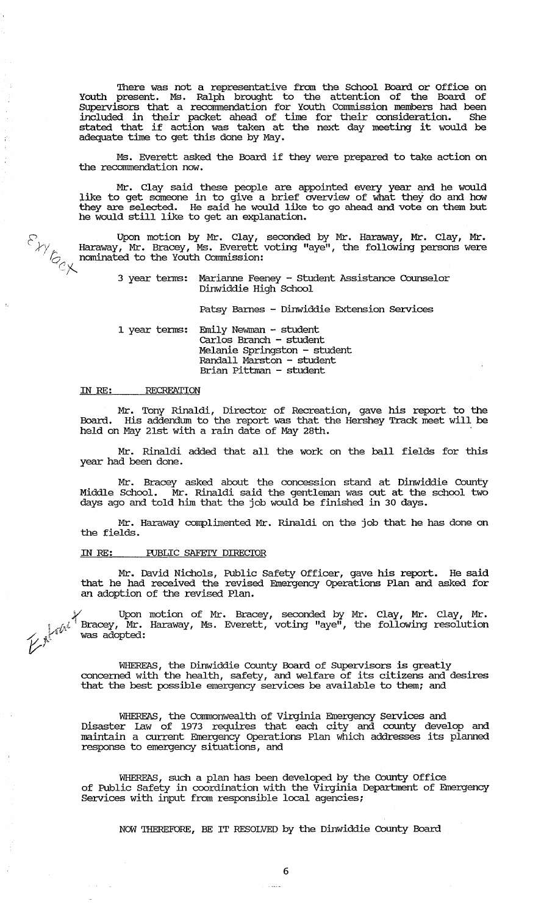There was not a representative from the School Board or Office on Youth present. Ms. Ralph brought to the attention of the Board of SUpervisors that a recommendation for Youth commission members had been included in their packet ahead of time for their consideration. She stated that if action was taken at the next day meeting it would be adequate time to get this done by May.

Ms. Everett asked the Board if they were prepared to take action on the recommendation now.

Mr. Clay said these people are appointed every year and he would like to get someone in to give a brief overview of what they do and how they are selected. He said he would like to go ahead and vote on them but he would still like to get an explanation.

 $\mathcal{P}_1$  Upon motion by Mr. Clay, seconded by Mr. Haraway, Mr. Clay, Mr.  $\mathcal{L}/\mathcal{L}$  Haraway, Mr. Bracey, Ms. Everett voting "aye", the following persons were nominated to the Youth Commission: -; 3 year terms: Marianne Feeney - Student Assistance Counselor

Dinwiddie High School

Patsy Barnes - Dinwiddie Extension services

1 year terms: Emily Newman - student carlos Branch - stUdent Melanie Springston - student Randall Marston - student Brian Pittman - student

#### IN RE: **RECREATION**

ĭ

Mr. Tony Rinaldi, Director of Recreation, gave his report to the Board. His addendum to the report was that the Hershey Track meet will be held on May 21st with a rain date of May 28th.

Mr. Rinaldi added that all the work on the ball fields for this year had been done.

Mr. Bracey asked about the concession stand at Dinwiddie County Middle School. Mr. Rinaldi said the gentleman was out at the school *'bib*  days ago and told him that the job would be finished in 30 days.

Mr. Haraway complimented Mr. Rinaldi on the job that he has done on the fields.

### IN RE: FUBLIC SAFETY DIRECTOR

Mr. David Nichols, Public Safety Officer, gave his report. He said that he had received the revised Emergency Operations Plan and asked for an adoption of the revised Plan.

*y* Upon motion of Mr. Bracey, seconded by Mr. Clay, Mr. Clay, Mr •  $\sim$   $\ell^{4^{J^{\{1\}}}}$  Bracey, Mr. Haraway, Ms. Everett, voting "aye", the following resolution was adopted:

> WHEREAS, the Dinwiddie County Board of SUpervisors is greatly concerned with the health, safety, and welfare of its citizens and desires that the best possible emergency services be available to them; and

> WHEREAS, the Commonwealth of Virginia Emergency Services and Disaster law of 1973 requires that each city and COWlty develop and maintain a current Emergency Operations Plan which addresses its planned response to emergency situations, and

> WHEREAS, such a plan has been developed by the County Office of Public Safety in coordination with the Virginia Department of Emergency services with input from responsible local agencies;

NOW THEREFORE, BE IT RESOLVED by the Dinwiddie County Board

لأنبذت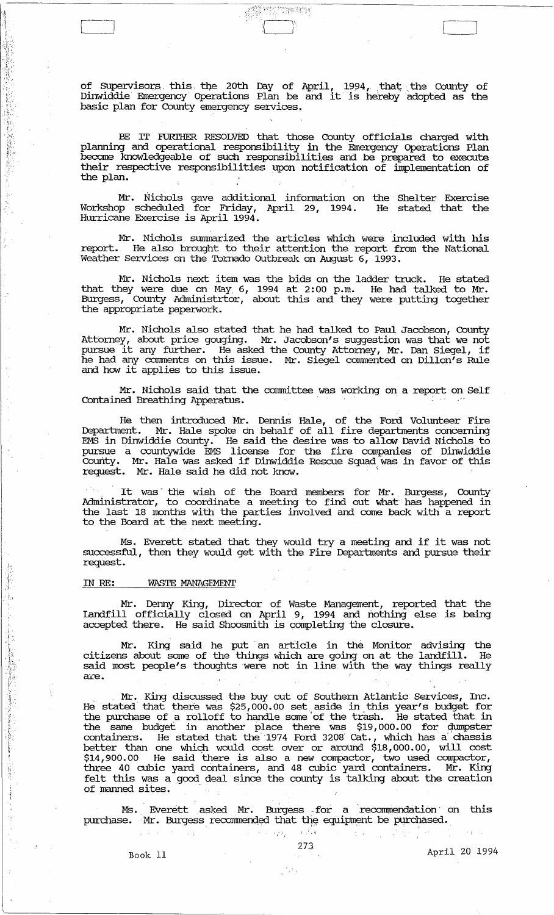of Supervisors this the 20th Day of April, 1994, that the County of<br>Dinwiddie Emergency Operations Plan be and it is hereby adopted as the basic plan for County emergency services.

 $\mathbb{F}^{\text{rec}}_{1}$  ,  $\mathbb{F}^{\text{rec}}_{2}$  ,  $\mathbb{F}^{\text{rec}}_{2}$  ,  $\mathbb{F}^{\text{rec}}_{2}$ 

 $\left(\begin{array}{c} \begin{array}{c} \begin{array}{c} \begin{array}{c} \end{array}\\ \end{array}\right) \end{array}$ 

BE IT FURTHER RESOLVED that those County officials charged with planning and operational responsibility in the Emergency Operations Plan become knowledgeable of such responsibilities and be prepared to execute their respective responsibilities upon notification of implementation of the plan.

Mr. Nichols gave additional infonnation on the Shelter Exercise Workshop scheduled for Friday, April 29, 1994. He stated that the Hurricane Exercise is April 1994.

Mr. Nichols summarized the articles which were included with his report. He also brought to their attention the report fram the National Weather Services on the Tornado Outbreak on August  $6, 1993.$ 

Mr. Nichols next item was the bids on the ladder truck. He stated that they were due on May, 6, 1994 at 2:00 p.m. He had talked to Mr. Burgess, County Administrtor, about this and they were putting together the appropriate paperwork.

Mr. Nichols also stated that he had talked to Paul Jacobson, County Attorney, about price gouging. Mr. Jacobson's suggestion was that we not pursue it any further. He asked the County Attorney, Mr. Dan Siegel, if he had any comments on this issue. Mr. Siegel commented on Dillon's Rule and how it applies to this issue.<br>
Mr. Nichols said that the committee was working on a report on Self Contained Breathing Apperatus.

Mr. Nichols said that the committee was working on a report on Self Contained Breathing Apperatus.

He then introduced Mr. Dennis Hale, of the Ford Volunteer Fire Department. Mr. Hale spoke on behalf of all fire departments concerning EMS in Dinwiddie County. He said the desire was to allow David Nichols to pursue a countywide EMS license for the fire companies of Dinwiddie county. Mr. Hale was asked if Dinwiddie Rescue Squad was in favor of this request. Mr. Hale said he did not know.

It was the wish of the Board members for Mr. Burgess, County Administrator, to coordinate a meeting to find out what has happened in the last 18 months with the parties involved and come back with a report to the Board at the next meeting.

Ms. Everett stated that they would try a meeting and if it was not successful, then they would get with the Fire Departments and pursue their request.

#### IN RE: WASTE MANAGEMENT

i: I,.  $\hat{p}$ 

|拡大事長の過度の提示を受け

·t

Mr. Dermy King, Director of waste Management, reported that the landfill officially closed on April 9, 1994 and nothing else is being accepted there. He said Shoosmith is completing the closure.

Mr. King said he put an article in the Monitor advising the<br>As about some of the things which are going on at the landfill. He citizens about some of the things which are going on at the landfill. said most people's thoughts were not in line with the way things really are.

. Mr. King discussed the buy out of Southern Atlantic Services, Inc. He stated that there was \$25,000.00 set aside in this year's budget for the purchase of a rolloff to handle same 'of the trash. He stated that in the same budget in another place there was \$19,000.00 for qumpster containers. He stated that the 1974 Ford 3208 Cat., which has a chassis better than one whiqh would cost over or around \$18,000.00, will cost \$14,900. 00 He said there is also a new compactor, two used compactor, three 40 cubic yard containers, and 48 cubic yard containers. Mr. King felt this was a good deal since the county is talking about the creation of manned sites.

Ms. Everett asked Mr. Burgess for a recommendation on this purchase. Mr. Burgess recommended that the equipment be purchased.

 $\begin{pmatrix} \frac{\partial}{\partial x} & 0 \\ 0 & 0 \end{pmatrix}$ 

 $\sim$   $\alpha$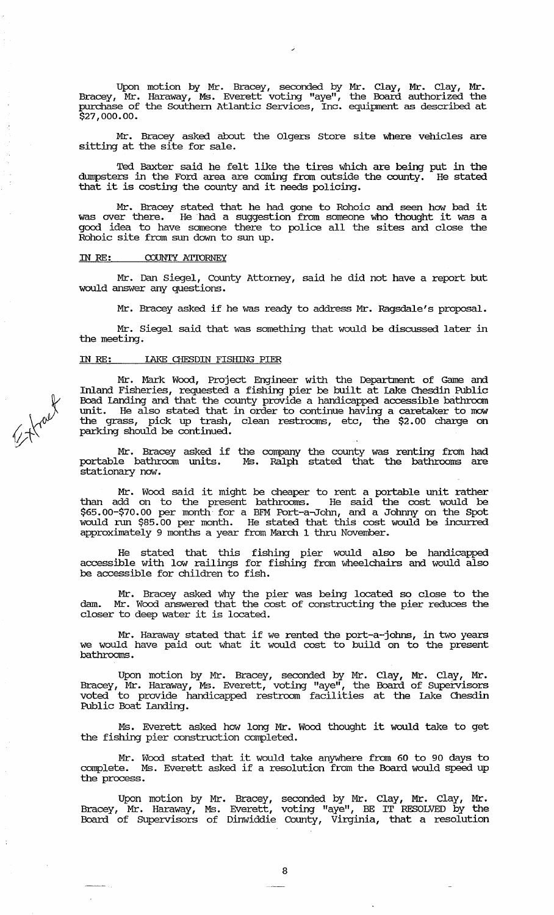Upon motion by Mr. Bracey, seconded by Mr. Clay, Mr. Clay, Mr. Bracey, Mr. Haraway, Ms. Everett voting "aye", the Board authorized the purchase of the Southern Atlantic Services, Inc. equipment as described at \$27,000.00.

Mr. Bracey asked about the Olgers store site where vehicles are sitting at the site for sale.

Ted Baxter said he felt like the tires which are being put in the dumpsters in the Ford area are coming from outside the county. that it is costing the county and it needs policing.

Mr. Bracey stated that he had gone to Rohoic and seen how bad it was over there. He had a suggestion from someone who thought it was a good idea to have someone there to police all the sites and close the Rohoic site from sun down to sun up.

#### IN RE: COUNTY ATIORNEY

Mr. Dan Siegel, County Attorney, said he did not have a report but would answer any questions.

Mr. Bracey asked if he was ready to address Mr. Ragsdale's proposal.

Mr. Siegel said that was something that would be discussed later in the meeting.

# IN RE: lAKE CHESDIN FISHING PIER

Mr. Mark Wood, Project Engineer with the Department of Game and Inland Fisheries, requested a fishing pier be built at lake (hesdin Public Boad Landing and that the county provide a handicapped accessible bathroom unit. He also stated that in order to continue having a caretaker to mow the grass, pick up trash, clean restrooms, etc, the \$2.00 charge on parking should be continued.

Mr. Bracey asked if the company the county was renting from had portable bathroom units. Ms. Ralph stated that the bathrooms are stationary now.

Mr. Wood said it might be cheaper to rent a portable unit rather than add on to the present bathrooms. He said the cost would be \$65.00-\$70.00 per month for a BFM Port-a.John, and a Johnny on the Spot would nm \$85.00 per month. He stated that this cost would be incurred approximately 9 months a year from March 1 thru November.

He stated that this fishing pier would also be handicapped accessible with low railings for fishing from wheelchairs and would also be accessible for children to fish.

Mr. Bracey asked why the pier was being located so close to the dam. Mr. Wood answered that the cost of constructing the pier reduces the closer to deep water it is located.

Mr. Haraway stated that if we rented the port-a-johns, in two years we would have paid out what it we rented the port-a-joins, in two years<br>we would have paid out what it would cost to build on to the present bathrooms.

Upon motion by Mr. Bracey, seconded by Mr. Clay, Mr. Clay, Mr. Bracey, Mr. Haraway, Ms. Everett, voting "aye", the Board of Supervisors voted to provide handicapped restroom facilities at the lake (hesdin Public Boat Landing.

Ms. Everett asked how long Mr. Wood thought it would take to get the fishing pier construction completed.

Mr. Wood stated that it would take anywhere from 60 to 90 days to complete. Ms. Everett asked if a resolution from the Board would speed up the process.

Upon motion by Mr. Bracey, seconded by Mr. Clay, Mr. Clay, Mr. Bracey, Mr. Haraway, Ms. Everett, voting "aye", BE IT RESOLVED by the Board of supe:rvisors of Dinwiddie County, Virginia, that a resolution

~ Kraet

والمسا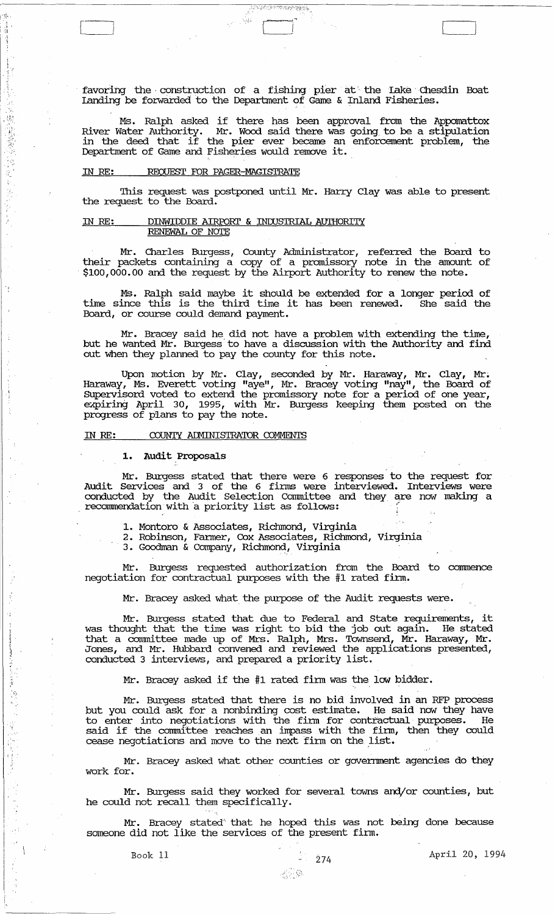favoring the construction of a fishing pier at the Lake Chesdin Boat Ianding be forwarded to the Department of Game & Inland Fisheries.

WERK OPA

ម្ពុជ្ជ

Ms. Ralph asked if there has been approval from the Appomattox River Water Authority. Mr. Wood said there was going to be a stipulation in the deed that if the pier ever became an enforcement problem, the In the deed that if the pier ever became an

#### IN RE: REQUEST FOR PAGER-MAGISTRATE

". 1:1,"'  $\frac{\partial}{\partial t}$  , i <1 .\  $\frac{1}{2}$ 

> I . ; I

 $\begin{pmatrix} 1 & 1 \\ 1 & 1 \end{pmatrix}$ 

不能能够 的过去分词

file when the file

This request was postponed until Mr. Harry Clay was able to present the request to the Board.

## IN RE: DINWIDDIE AIRroRI' & INIUS'IRIAL AUl'HORITY <u>RENEWAL OF NOTE</u>

Mr. Charles Burgess, County Administrator, referred the Board to their packets containing a copy of a promissory note in the amount of \$100,000.00 and the request by the Airport Authority to renew the note.

Ms. Ralph said maybe it should be extended for a longer period of time since this is the third time it has been renewed. She said the Board, or course could demand payment.

Mr. Bracey said he did not have a problem with extending the time, but he wanted Mr. Burgess'to have a discussion with the Authority and find out when they planned to pay the county for this note.

Upon motion by Mr. Clay, seconded by Mr. Haraway, Mr. Clay, Mr <sup>~</sup> Haraway, Ms. Everett voting "aye", Mr. Bracey voting "nay", the Board of SUpervisord voted to extend the promissory note for a period of one year, expiring April 30, 1995, with Mr. Burgess keeping them posted on the progress of plans to pay the note. '

#### IN RE: COUNTY ADMINISTRATOR COMMENTS

## **1. Audit** Proposals

Mr. Burgess stated that there were 6 responses to the request for Audit services and 3 of the 6 firms were interviewed. Interviews were conducted by the Audit Selection Committee and they are now making a recommendation with a priority list as follows:

1. Montoro & Associates, Richmond, Virginia

2. Robinson, Fanner, Cox Associates, Richmond, Virginia

3. Goodman & Company, Richmond, Virginia

Mr. Burgess requested authorization from the Board to conunence negotiation for contractual purposes with the #1 rated firm.

Mr. Bracey asked what the purpose of the Audit requests were.

Mr. Burgess stated that due to Federal and State requirements, it<br>pught that the time was right to bid the job out again. He stated was thought that the time was right to bid the job out again. He stated that a connnittee made up of Mrs. Ralph, Mrs. ToWnsend, Mr. Haraway, Mr. Jones, and Mr. Hubbard convened and reviewed the applications presented, conducted 3 interviews, and prepared a priority list.

Mr. Bracey asked if the #1 rated finn was the low bidder.

Mr. Burgess stated that there is no bid involved in an RFP process but you could ask for a nonbinding cost estimate. He said now they have to enter into negotiations with the finn for contractual purposes. He said if the corrnnittee reaches an irrpass with the finn, then they could said if the committee reduces on impass with the limit,

Mr. Bracey asked what other counties or government agencies do they work for.

Mr. Burgess said they worked for several towns and/or counties, but he could not recall them specifically. .

Mr. Bracey stated that he hoped this was not being done because someone did not like the services of the present firm.

Book 11  $274$  April 20, 1994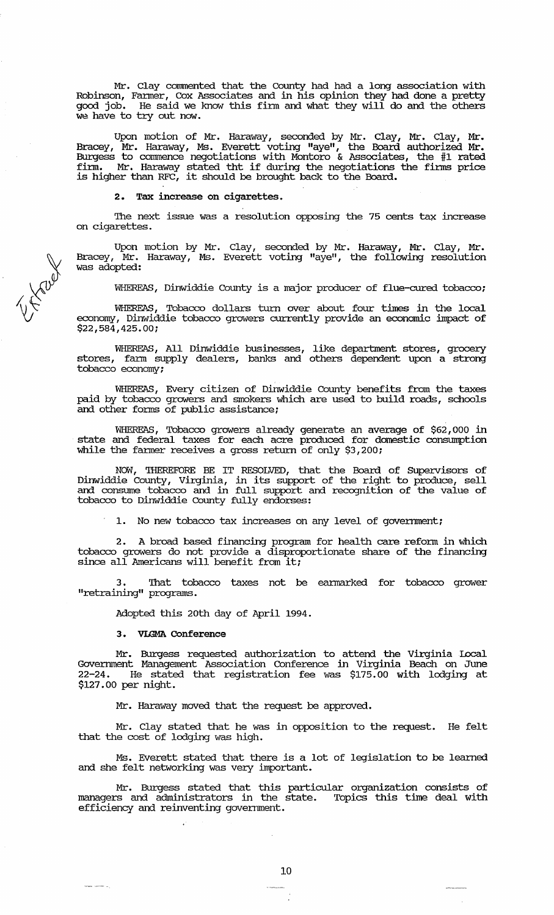Mr. Clay commented that the County had had a long association with Robinson, Fanner, Cox Associates and in his opinion they had done a pretty good job. He said we know this firm and what they will do and the others we have to try out now.

Upon motion of Mr. Haraway, seconded by Mr. Clay, Mr. Clay, Mr. Bracey, Mr. Haraway, Ms. Everett voting "aye", the Board authorized Mr. Burgess to commence negotiations with Montoro & Associates, the #1 rated firm. Mr. Haraway stated tht if during the negotiations the firms price iffin. Mr. Haraway stated the Ir during the negociations<br>is higher than RFC, it should be brought back to the Board.

2. Tax increase on cigarettes.

The next issue was a resolution opposing the 75 cents tax increase on cigarettes.

Upon motion by Mr. Clay, seconded by Mr. Haraway, Mr. Clay, Mr. Bracey, Mr. Haraway, Ms. Everett voting "aye", the following resolution was adopted:

WHEREAS, Dinwiddie County is a major producer of flue-cured tobacco;

WHEREAS, Tobacco dollars turn over about four times in the local economy, Dinwiddie tobacco growers currently provide an economic impact of \$22,584,425.00;

WHEREAS, All Dinwiddie businesses, like department stores, grocery stores, fann supply dealers, banks and others dependent upon a strong tobacco economy;

WHEREAS, Every citizen of Dinwiddie County benefits from the taxes paid by tobacco growers and smokers which are used to build roads, schools and other forms of public assistance;

WHEREAS, Tobacco growers already generate an average of \$62,000 in state and federal taxes for each acre produced for domestic consumption while the farmer receives a gross return of only \$3,200;

NOW, THEREFDRE BE IT RESOLVED, that the Board of SUpervisors of Dinwiddie County, Virginia, in its support of the right to produce, sell and consmne tobacco and in full support and recognition of the value of tobacco to Dinwiddie County fully endorses:

1. No new tobacco tax increases on any level of goverrnnent;

2. A broad based financing program for health care reform in which tobacco growers do not provide a disproportionate share of the financing since all Americans will benefit from it:

That tobacco taxes not be earmarked for tobacco grower "retraining" programs.

Adopted this 20th day of April 1994.

# 3. VLGMA Conference

maria,

Mr. Burgess requested authorization to attend the Virginia Local Goverrnnent Management Association Conference in Virginia Beach on June 22-24. He stated that registration fee was \$175.00 with lodging at \$127.00 per night.

Mr. Haraway moved that the request be approved.

Mr. Clay stated that he was in opposition to the request. He felt that the cost of lodging was high.

Ms. Everett stated that there is a lot of legislation to be learned and she felt networking was very important.

Mr. Burgess stated that this particular organization consists of managers and administrators in the state. Topics this time deal with efficiency and reinventing government.

 $\forall \Sigma$